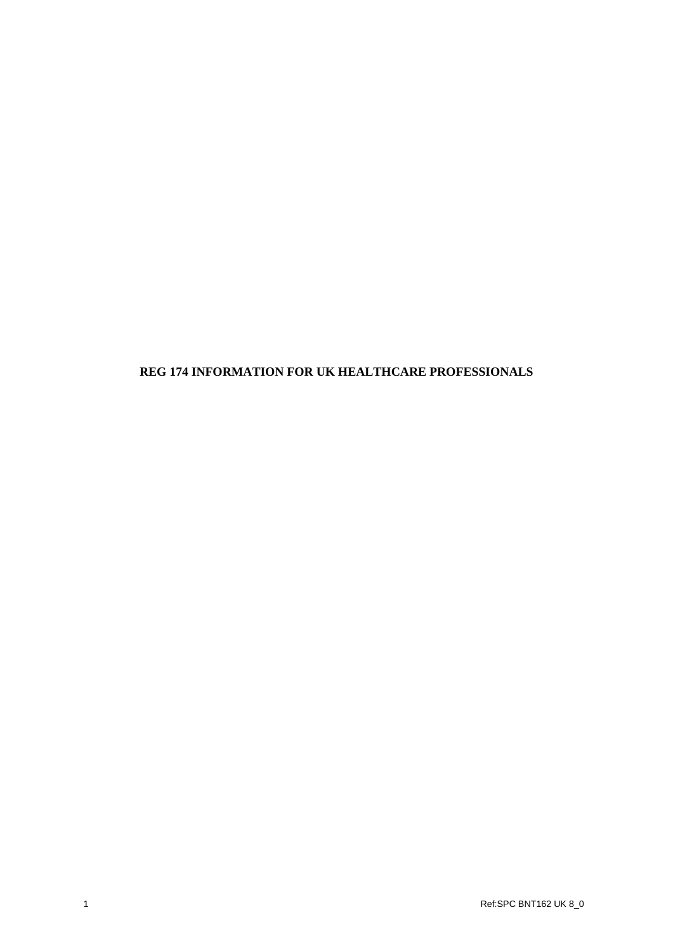# **REG 174 INFORMATION FOR UK HEALTHCARE PROFESSIONALS**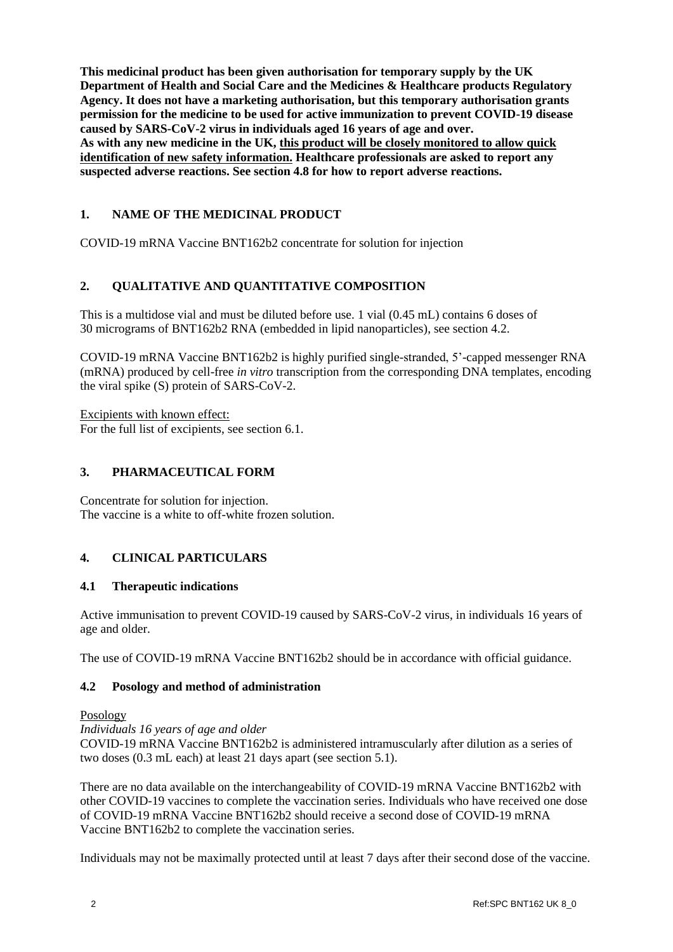**This medicinal product has been given authorisation for temporary supply by the UK Department of Health and Social Care and the Medicines & Healthcare products Regulatory Agency. It does not have a marketing authorisation, but this temporary authorisation grants permission for the medicine to be used for active immunization to prevent COVID-19 disease caused by SARS-CoV-2 virus in individuals aged 16 years of age and over. As with any new medicine in the UK, this product will be closely monitored to allow quick identification of new safety information. Healthcare professionals are asked to report any suspected adverse reactions. See section 4.8 for how to report adverse reactions.**

# **1. NAME OF THE MEDICINAL PRODUCT**

COVID-19 mRNA Vaccine BNT162b2 concentrate for solution for injection

# **2. QUALITATIVE AND QUANTITATIVE COMPOSITION**

This is a multidose vial and must be diluted before use. 1 vial (0.45 mL) contains 6 doses of 30 micrograms of BNT162b2 RNA (embedded in lipid nanoparticles), see section 4.2.

COVID-19 mRNA Vaccine BNT162b2 is highly purified single-stranded, 5'-capped messenger RNA (mRNA) produced by cell-free *in vitro* transcription from the corresponding DNA templates, encoding the viral spike (S) protein of SARS-CoV-2.

Excipients with known effect: For the full list of excipients, see section 6.1.

### **3. PHARMACEUTICAL FORM**

Concentrate for solution for injection. The vaccine is a white to off-white frozen solution.

# **4. CLINICAL PARTICULARS**

#### **4.1 Therapeutic indications**

Active immunisation to prevent COVID-19 caused by SARS-CoV-2 virus, in individuals 16 years of age and older.

The use of COVID-19 mRNA Vaccine BNT162b2 should be in accordance with official guidance.

#### **4.2 Posology and method of administration**

#### Posology

*Individuals 16 years of age and older* COVID-19 mRNA Vaccine BNT162b2 is administered intramuscularly after dilution as a series of two doses (0.3 mL each) at least 21 days apart (see section 5.1).

There are no data available on the interchangeability of COVID-19 mRNA Vaccine BNT162b2 with other COVID-19 vaccines to complete the vaccination series. Individuals who have received one dose of COVID-19 mRNA Vaccine BNT162b2 should receive a second dose of COVID-19 mRNA Vaccine BNT162b2 to complete the vaccination series.

Individuals may not be maximally protected until at least 7 days after their second dose of the vaccine.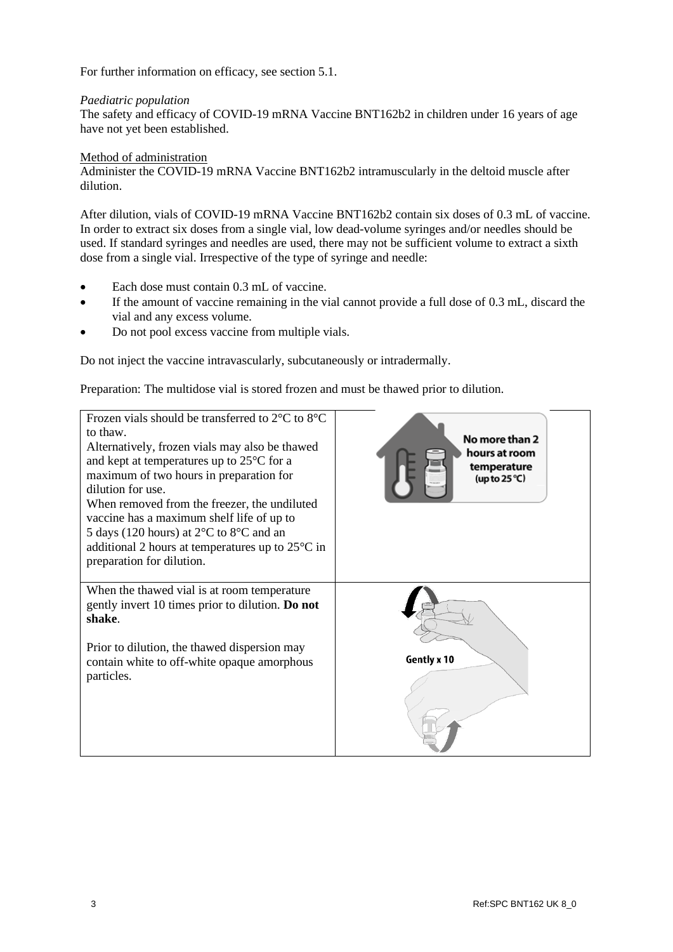For further information on efficacy, see section 5.1.

### *Paediatric population*

The safety and efficacy of COVID-19 mRNA Vaccine BNT162b2 in children under 16 years of age have not yet been established.

#### Method of administration

Administer the COVID-19 mRNA Vaccine BNT162b2 intramuscularly in the deltoid muscle after dilution.

After dilution, vials of COVID-19 mRNA Vaccine BNT162b2 contain six doses of 0.3 mL of vaccine. In order to extract six doses from a single vial, low dead-volume syringes and/or needles should be used. If standard syringes and needles are used, there may not be sufficient volume to extract a sixth dose from a single vial. Irrespective of the type of syringe and needle:

- Each dose must contain 0.3 mL of vaccine.
- If the amount of vaccine remaining in the vial cannot provide a full dose of 0.3 mL, discard the vial and any excess volume.
- Do not pool excess vaccine from multiple vials.

Do not inject the vaccine intravascularly, subcutaneously or intradermally.

Preparation: The multidose vial is stored frozen and must be thawed prior to dilution.

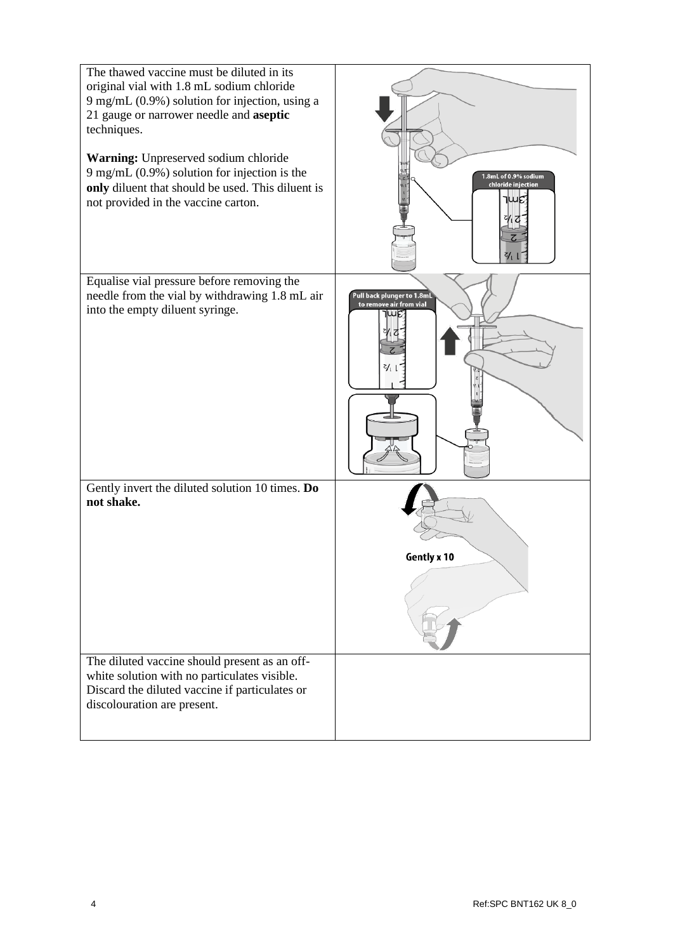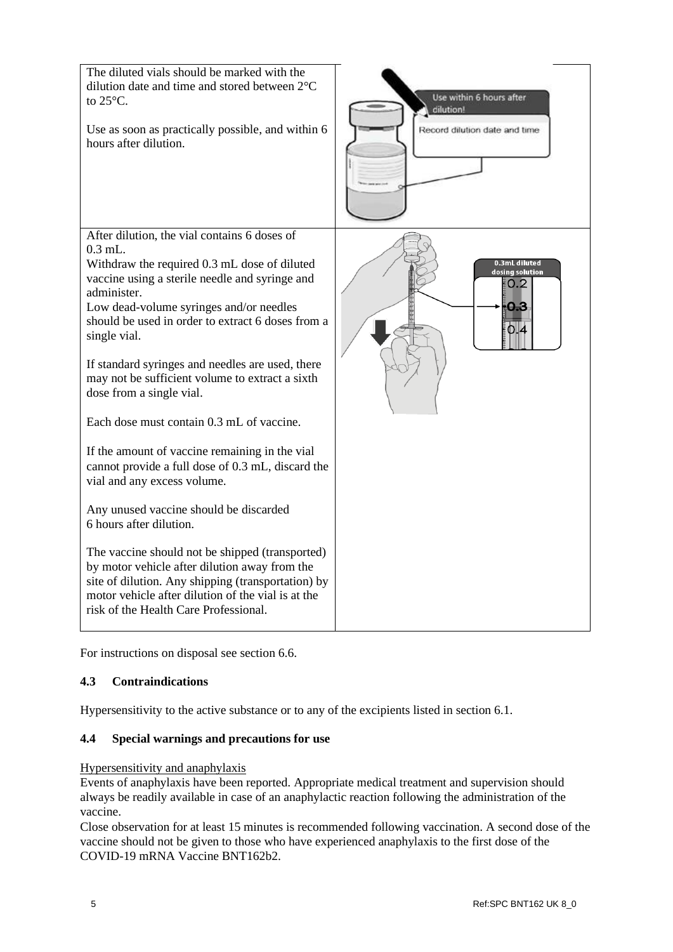

For instructions on disposal see section 6.6.

# **4.3 Contraindications**

Hypersensitivity to the active substance or to any of the excipients listed in section 6.1.

# **4.4 Special warnings and precautions for use**

#### Hypersensitivity and anaphylaxis

Events of anaphylaxis have been reported. Appropriate medical treatment and supervision should always be readily available in case of an anaphylactic reaction following the administration of the vaccine.

Close observation for at least 15 minutes is recommended following vaccination. A second dose of the vaccine should not be given to those who have experienced anaphylaxis to the first dose of the COVID-19 mRNA Vaccine BNT162b2.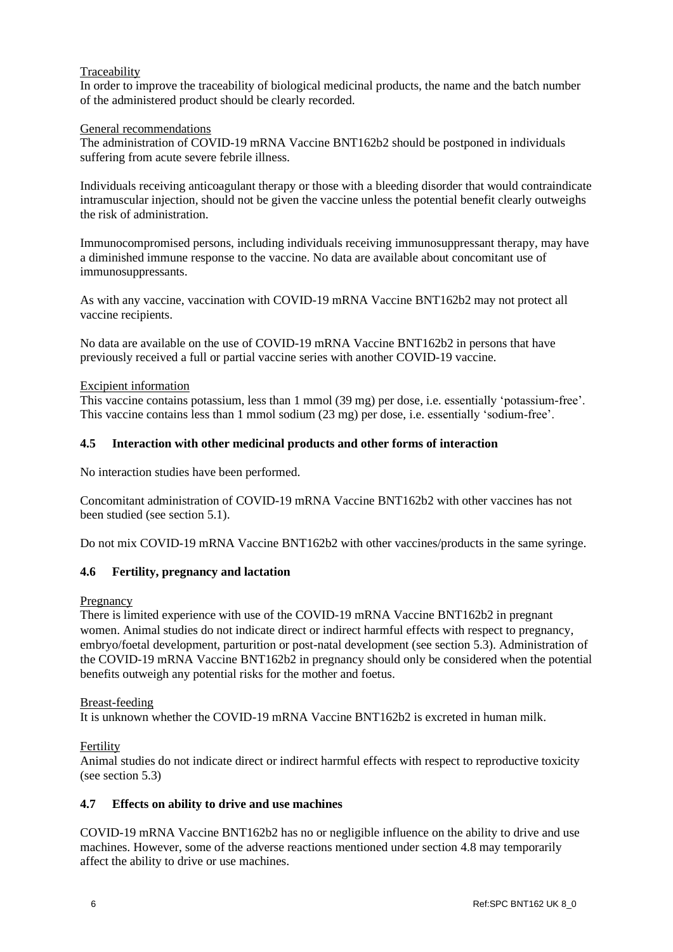# Traceability

In order to improve the traceability of biological medicinal products, the name and the batch number of the administered product should be clearly recorded.

### General recommendations

The administration of COVID-19 mRNA Vaccine BNT162b2 should be postponed in individuals suffering from acute severe febrile illness.

Individuals receiving anticoagulant therapy or those with a bleeding disorder that would contraindicate intramuscular injection, should not be given the vaccine unless the potential benefit clearly outweighs the risk of administration.

Immunocompromised persons, including individuals receiving immunosuppressant therapy, may have a diminished immune response to the vaccine. No data are available about concomitant use of immunosuppressants.

As with any vaccine, vaccination with COVID-19 mRNA Vaccine BNT162b2 may not protect all vaccine recipients.

No data are available on the use of COVID-19 mRNA Vaccine BNT162b2 in persons that have previously received a full or partial vaccine series with another COVID-19 vaccine.

### Excipient information

This vaccine contains potassium, less than 1 mmol (39 mg) per dose, i.e. essentially 'potassium-free'. This vaccine contains less than 1 mmol sodium (23 mg) per dose, i.e. essentially 'sodium-free'.

### **4.5 Interaction with other medicinal products and other forms of interaction**

No interaction studies have been performed.

Concomitant administration of COVID-19 mRNA Vaccine BNT162b2 with other vaccines has not been studied (see section 5.1).

Do not mix COVID-19 mRNA Vaccine BNT162b2 with other vaccines/products in the same syringe.

# **4.6 Fertility, pregnancy and lactation**

#### **Pregnancy**

There is limited experience with use of the COVID-19 mRNA Vaccine BNT162b2 in pregnant women. Animal studies do not indicate direct or indirect harmful effects with respect to pregnancy, embryo/foetal development, parturition or post-natal development (see section 5.3). Administration of the COVID-19 mRNA Vaccine BNT162b2 in pregnancy should only be considered when the potential benefits outweigh any potential risks for the mother and foetus.

Breast-feeding

It is unknown whether the COVID-19 mRNA Vaccine BNT162b2 is excreted in human milk.

# Fertility

Animal studies do not indicate direct or indirect harmful effects with respect to reproductive toxicity (see section 5.3)

# **4.7 Effects on ability to drive and use machines**

COVID-19 mRNA Vaccine BNT162b2 has no or negligible influence on the ability to drive and use machines. However, some of the adverse reactions mentioned under section 4.8 may temporarily affect the ability to drive or use machines.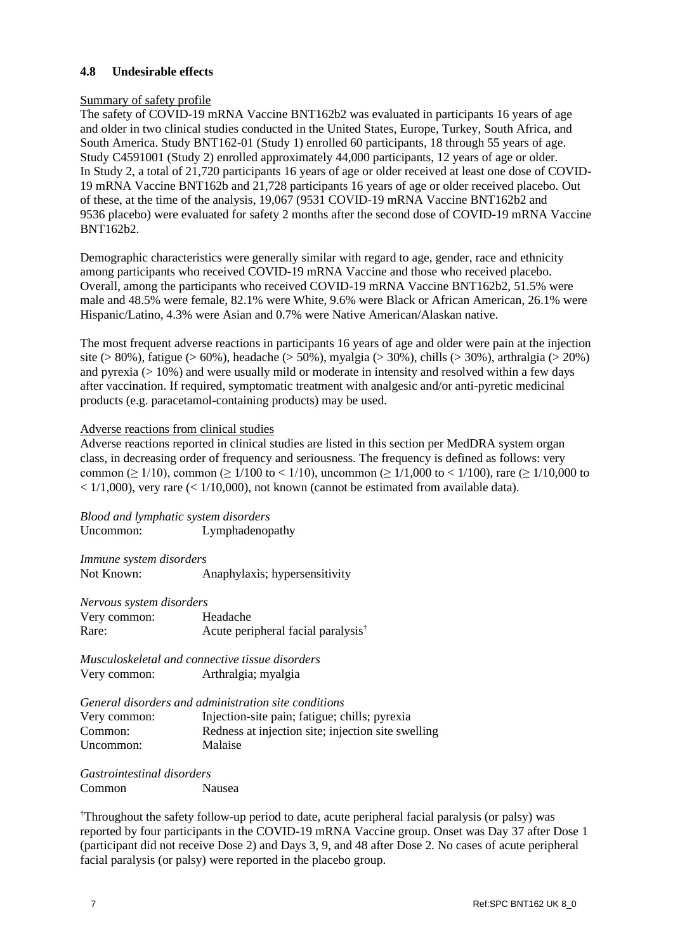### **4.8 Undesirable effects**

#### Summary of safety profile

The safety of COVID-19 mRNA Vaccine BNT162b2 was evaluated in participants 16 years of age and older in two clinical studies conducted in the United States, Europe, Turkey, South Africa, and South America. Study BNT162-01 (Study 1) enrolled 60 participants, 18 through 55 years of age. Study C4591001 (Study 2) enrolled approximately 44,000 participants, 12 years of age or older. In Study 2, a total of 21,720 participants 16 years of age or older received at least one dose of COVID-19 mRNA Vaccine BNT162b and 21,728 participants 16 years of age or older received placebo. Out of these, at the time of the analysis, 19,067 (9531 COVID-19 mRNA Vaccine BNT162b2 and 9536 placebo) were evaluated for safety 2 months after the second dose of COVID-19 mRNA Vaccine BNT162b2.

Demographic characteristics were generally similar with regard to age, gender, race and ethnicity among participants who received COVID-19 mRNA Vaccine and those who received placebo. Overall, among the participants who received COVID-19 mRNA Vaccine BNT162b2, 51.5% were male and 48.5% were female, 82.1% were White, 9.6% were Black or African American, 26.1% were Hispanic/Latino, 4.3% were Asian and 0.7% were Native American/Alaskan native.

The most frequent adverse reactions in participants 16 years of age and older were pain at the injection site (> 80%), fatigue (> 60%), headache (> 50%), myalgia (> 30%), chills (> 30%), arthralgia (> 20%) and pyrexia  $(>10\%)$  and were usually mild or moderate in intensity and resolved within a few days after vaccination. If required, symptomatic treatment with analgesic and/or anti-pyretic medicinal products (e.g. paracetamol-containing products) may be used.

#### Adverse reactions from clinical studies

Adverse reactions reported in clinical studies are listed in this section per MedDRA system organ class, in decreasing order of frequency and seriousness. The frequency is defined as follows: very common ( $\geq 1/10$ ), common ( $\geq 1/100$  to < 1/10), uncommon ( $\geq 1/1,000$  to < 1/100), rare ( $\geq 1/10,000$  to  $<$  1/1,000), very rare ( $<$  1/10,000), not known (cannot be estimated from available data).

*Blood and lymphatic system disorders* Uncommon: Lymphadenopathy

*Immune system disorders* Not Known: Anaphylaxis; hypersensitivity

*Nervous system disorders* Very common: Headache Rare: Acute peripheral facial paralysis<sup>†</sup>

*Musculoskeletal and connective tissue disorders* Very common: Arthralgia; myalgia

*General disorders and administration site conditions*

| Very common: | Injection-site pain; fatigue; chills; pyrexia      |
|--------------|----------------------------------------------------|
| Common:      | Redness at injection site; injection site swelling |
| Uncommon:    | Malaise                                            |

*Gastrointestinal disorders* Common Nausea

†Throughout the safety follow-up period to date, acute peripheral facial paralysis (or palsy) was reported by four participants in the COVID-19 mRNA Vaccine group. Onset was Day 37 after Dose 1 (participant did not receive Dose 2) and Days 3, 9, and 48 after Dose 2. No cases of acute peripheral facial paralysis (or palsy) were reported in the placebo group.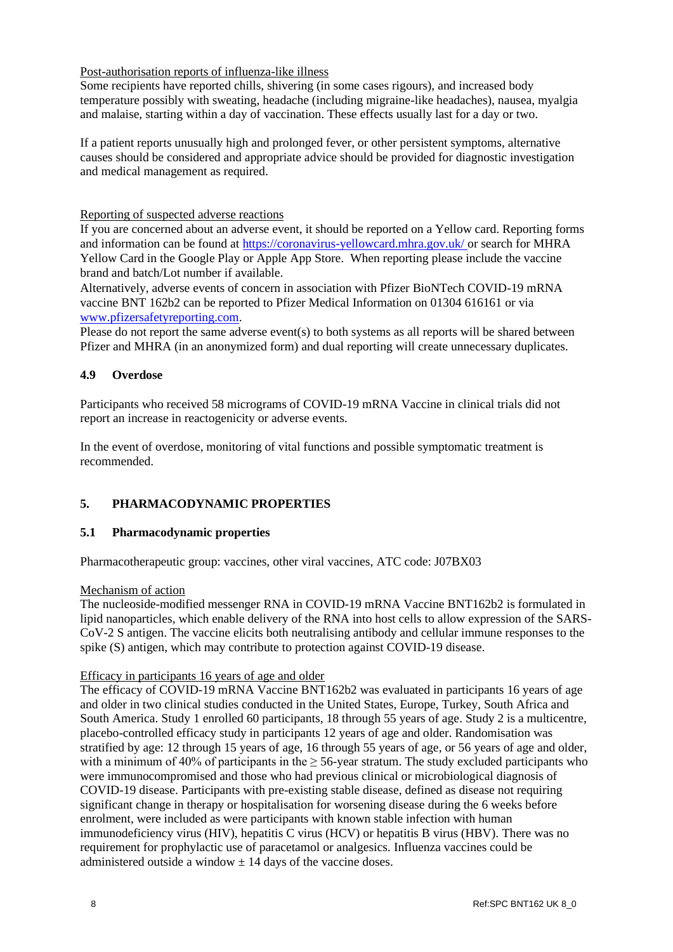# Post-authorisation reports of influenza-like illness

Some recipients have reported chills, shivering (in some cases rigours), and increased body temperature possibly with sweating, headache (including migraine-like headaches), nausea, myalgia and malaise, starting within a day of vaccination. These effects usually last for a day or two.

If a patient reports unusually high and prolonged fever, or other persistent symptoms, alternative causes should be considered and appropriate advice should be provided for diagnostic investigation and medical management as required.

Reporting of suspected adverse reactions

If you are concerned about an adverse event, it should be reported on a Yellow card. Reporting forms and information can be found at [https://coronavirus-yellowcard.mhra.gov.uk/](https://urldefense.proofpoint.com/v2/url?u=https-3A__coronavirus-2Dyellowcard.mhra.gov.uk_&d=DwMFAw&c=UE1eNsedaKncO0Yl_u8bfw&r=w6DflmRjAsYvVgMKqVz9KrnRxozkgmY6dohkPH9v-GQ&m=5fApxr6fCynUxULIWuMMejFo49W4_mwg7n7GUdMrc9o&s=sT1kwHYDeU7PNafh4f6EUzHYXrzBw368J0VW6QtyBJk&e=) or search for MHRA Yellow Card in the Google Play or Apple App Store. When reporting please include the vaccine brand and batch/Lot number if available.

Alternatively, adverse events of concern in association with Pfizer BioNTech COVID-19 mRNA vaccine BNT 162b2 can be reported to Pfizer Medical Information on 01304 616161 or via [www.pfizersafetyreporting.com.](http://www.pfizersafetyreporting.com/)

Please do not report the same adverse event(s) to both systems as all reports will be shared between Pfizer and MHRA (in an anonymized form) and dual reporting will create unnecessary duplicates.

### **4.9 Overdose**

Participants who received 58 micrograms of COVID-19 mRNA Vaccine in clinical trials did not report an increase in reactogenicity or adverse events.

In the event of overdose, monitoring of vital functions and possible symptomatic treatment is recommended.

# **5. PHARMACODYNAMIC PROPERTIES**

#### **5.1 Pharmacodynamic properties**

Pharmacotherapeutic group: vaccines, other viral vaccines, ATC code: J07BX03

#### Mechanism of action

The nucleoside-modified messenger RNA in COVID-19 mRNA Vaccine BNT162b2 is formulated in lipid nanoparticles, which enable delivery of the RNA into host cells to allow expression of the SARS-CoV-2 S antigen. The vaccine elicits both neutralising antibody and cellular immune responses to the spike (S) antigen, which may contribute to protection against COVID-19 disease.

#### Efficacy in participants 16 years of age and older

The efficacy of COVID-19 mRNA Vaccine BNT162b2 was evaluated in participants 16 years of age and older in two clinical studies conducted in the United States, Europe, Turkey, South Africa and South America. Study 1 enrolled 60 participants, 18 through 55 years of age. Study 2 is a multicentre, placebo-controlled efficacy study in participants 12 years of age and older. Randomisation was stratified by age: 12 through 15 years of age, 16 through 55 years of age, or 56 years of age and older, with a minimum of 40% of participants in the  $\geq$  56-year stratum. The study excluded participants who were immunocompromised and those who had previous clinical or microbiological diagnosis of COVID-19 disease. Participants with pre-existing stable disease, defined as disease not requiring significant change in therapy or hospitalisation for worsening disease during the 6 weeks before enrolment, were included as were participants with known stable infection with human immunodeficiency virus (HIV), hepatitis C virus (HCV) or hepatitis B virus (HBV). There was no requirement for prophylactic use of paracetamol or analgesics. Influenza vaccines could be administered outside a window  $\pm$  14 days of the vaccine doses.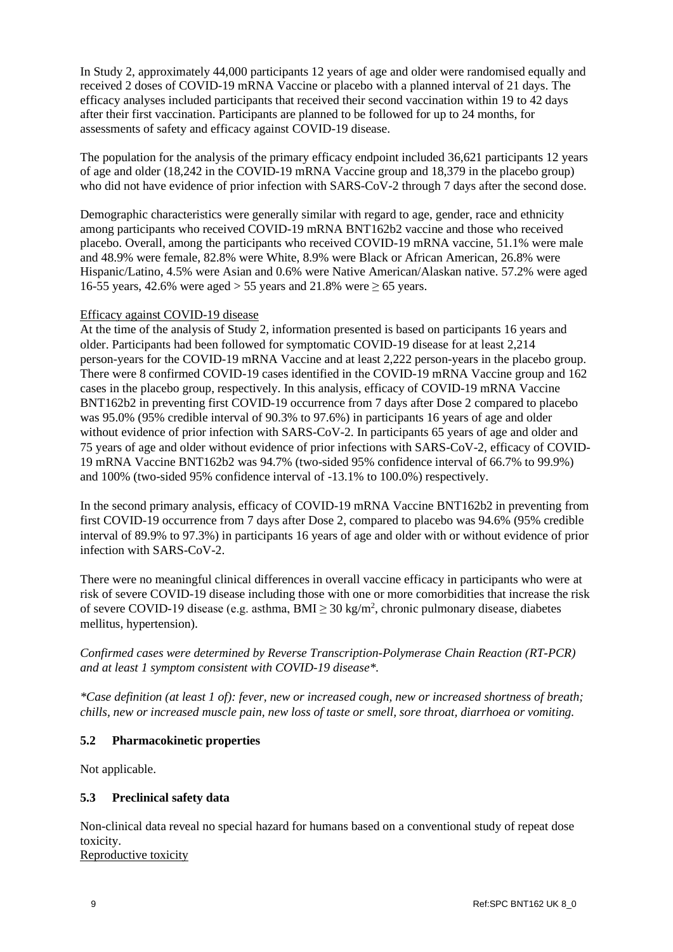In Study 2, approximately 44,000 participants 12 years of age and older were randomised equally and received 2 doses of COVID-19 mRNA Vaccine or placebo with a planned interval of 21 days. The efficacy analyses included participants that received their second vaccination within 19 to 42 days after their first vaccination. Participants are planned to be followed for up to 24 months, for assessments of safety and efficacy against COVID-19 disease.

The population for the analysis of the primary efficacy endpoint included 36,621 participants 12 years of age and older (18,242 in the COVID-19 mRNA Vaccine group and 18,379 in the placebo group) who did not have evidence of prior infection with SARS-CoV-2 through 7 days after the second dose.

Demographic characteristics were generally similar with regard to age, gender, race and ethnicity among participants who received COVID-19 mRNA BNT162b2 vaccine and those who received placebo. Overall, among the participants who received COVID-19 mRNA vaccine, 51.1% were male and 48.9% were female, 82.8% were White, 8.9% were Black or African American, 26.8% were Hispanic/Latino, 4.5% were Asian and 0.6% were Native American/Alaskan native. 57.2% were aged 16-55 years, 42.6% were aged > 55 years and 21.8% were  $\geq$  65 years.

#### Efficacy against COVID-19 disease

At the time of the analysis of Study 2, information presented is based on participants 16 years and older. Participants had been followed for symptomatic COVID-19 disease for at least 2,214 person-years for the COVID-19 mRNA Vaccine and at least 2,222 person-years in the placebo group. There were 8 confirmed COVID-19 cases identified in the COVID-19 mRNA Vaccine group and 162 cases in the placebo group, respectively. In this analysis, efficacy of COVID-19 mRNA Vaccine BNT162b2 in preventing first COVID-19 occurrence from 7 days after Dose 2 compared to placebo was 95.0% (95% credible interval of 90.3% to 97.6%) in participants 16 years of age and older without evidence of prior infection with SARS-CoV-2. In participants 65 years of age and older and 75 years of age and older without evidence of prior infections with SARS-CoV-2, efficacy of COVID-19 mRNA Vaccine BNT162b2 was 94.7% (two-sided 95% confidence interval of 66.7% to 99.9%) and 100% (two-sided 95% confidence interval of -13.1% to 100.0%) respectively.

In the second primary analysis, efficacy of COVID-19 mRNA Vaccine BNT162b2 in preventing from first COVID-19 occurrence from 7 days after Dose 2, compared to placebo was 94.6% (95% credible interval of 89.9% to 97.3%) in participants 16 years of age and older with or without evidence of prior infection with SARS-CoV-2.

There were no meaningful clinical differences in overall vaccine efficacy in participants who were at risk of severe COVID-19 disease including those with one or more comorbidities that increase the risk of severe COVID-19 disease (e.g. asthma,  $BMI \geq 30 \text{ kg/m}^2$ , chronic pulmonary disease, diabetes mellitus, hypertension).

*Confirmed cases were determined by Reverse Transcription-Polymerase Chain Reaction (RT-PCR) and at least 1 symptom consistent with COVID-19 disease\*.*

*\*Case definition (at least 1 of): fever, new or increased cough, new or increased shortness of breath; chills, new or increased muscle pain, new loss of taste or smell, sore throat, diarrhoea or vomiting.*

# **5.2 Pharmacokinetic properties**

Not applicable.

# **5.3 Preclinical safety data**

Non-clinical data reveal no special hazard for humans based on a conventional study of repeat dose toxicity.

Reproductive toxicity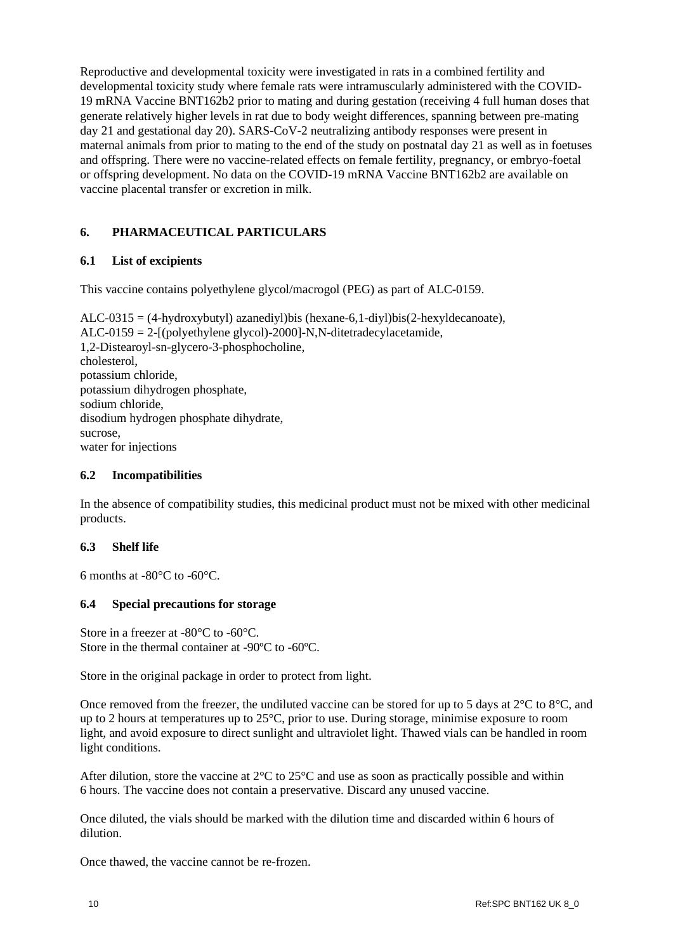Reproductive and developmental toxicity were investigated in rats in a combined fertility and developmental toxicity study where female rats were intramuscularly administered with the COVID-19 mRNA Vaccine BNT162b2 prior to mating and during gestation (receiving 4 full human doses that generate relatively higher levels in rat due to body weight differences, spanning between pre-mating day 21 and gestational day 20). SARS-CoV-2 neutralizing antibody responses were present in maternal animals from prior to mating to the end of the study on postnatal day 21 as well as in foetuses and offspring. There were no vaccine-related effects on female fertility, pregnancy, or embryo-foetal or offspring development. No data on the COVID-19 mRNA Vaccine BNT162b2 are available on vaccine placental transfer or excretion in milk.

# **6. PHARMACEUTICAL PARTICULARS**

# **6.1 List of excipients**

This vaccine contains polyethylene glycol/macrogol (PEG) as part of ALC-0159.

 $ALC-0315 = (4-hydroxybutyl)$  azanediyl)bis (hexane-6,1-diyl)bis(2-hexyldecanoate), ALC-0159 = 2-[(polyethylene glycol)-2000]-N,N-ditetradecylacetamide, 1,2-Distearoyl-sn-glycero-3-phosphocholine, cholesterol, potassium chloride, potassium dihydrogen phosphate, sodium chloride, disodium hydrogen phosphate dihydrate, sucrose, water for injections

#### **6.2 Incompatibilities**

In the absence of compatibility studies, this medicinal product must not be mixed with other medicinal products.

#### **6.3 Shelf life**

6 months at -80°C to -60°C.

#### **6.4 Special precautions for storage**

Store in a freezer at -80°C to -60°C. Store in the thermal container at -90ºC to -60ºC.

Store in the original package in order to protect from light.

Once removed from the freezer, the undiluted vaccine can be stored for up to 5 days at 2°C to 8°C, and up to 2 hours at temperatures up to 25°C, prior to use. During storage, minimise exposure to room light, and avoid exposure to direct sunlight and ultraviolet light. Thawed vials can be handled in room light conditions.

After dilution, store the vaccine at  $2^{\circ}$ C to  $25^{\circ}$ C and use as soon as practically possible and within 6 hours. The vaccine does not contain a preservative. Discard any unused vaccine.

Once diluted, the vials should be marked with the dilution time and discarded within 6 hours of dilution.

Once thawed, the vaccine cannot be re-frozen.